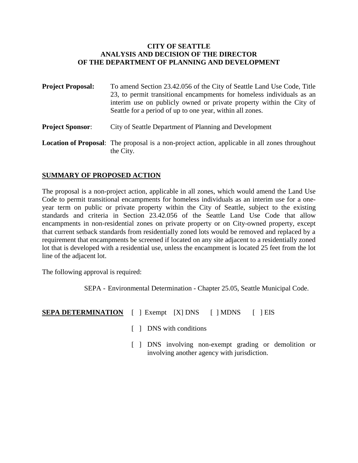#### **CITY OF SEATTLE ANALYSIS AND DECISION OF THE DIRECTOR OF THE DEPARTMENT OF PLANNING AND DEVELOPMENT**

| <b>Project Proposal:</b> | To amend Section 23.42.056 of the City of Seattle Land Use Code, Title<br>23, to permit transitional encampments for homeless individuals as an<br>interim use on publicly owned or private property within the City of<br>Seattle for a period of up to one year, within all zones. |  |
|--------------------------|--------------------------------------------------------------------------------------------------------------------------------------------------------------------------------------------------------------------------------------------------------------------------------------|--|
| <b>Project Sponsor:</b>  | City of Seattle Department of Planning and Development                                                                                                                                                                                                                               |  |
|                          | <b>Location of Proposal:</b> The proposal is a non-project action, applicable in all zones throughout                                                                                                                                                                                |  |

# **SUMMARY OF PROPOSED ACTION**

the City.

The proposal is a non-project action, applicable in all zones, which would amend the Land Use Code to permit transitional encampments for homeless individuals as an interim use for a oneyear term on public or private property within the City of Seattle, subject to the existing standards and criteria in Section 23.42.056 of the Seattle Land Use Code that allow encampments in non-residential zones on private property or on City-owned property, except that current setback standards from residentially zoned lots would be removed and replaced by a requirement that encampments be screened if located on any site adjacent to a residentially zoned lot that is developed with a residential use, unless the encampment is located 25 feet from the lot line of the adjacent lot.

The following approval is required:

SEPA - Environmental Determination - Chapter 25.05, Seattle Municipal Code.

| Exempt [X] DNS | <b>SEPA DETERMINATION</b> | $\lceil$   MDNS | EIS |
|----------------|---------------------------|-----------------|-----|
|----------------|---------------------------|-----------------|-----|

- [ ] DNS with conditions
- [ ] DNS involving non-exempt grading or demolition or involving another agency with jurisdiction.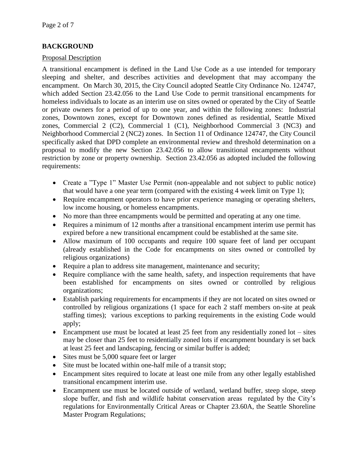# **BACKGROUND**

#### Proposal Description

A transitional encampment is defined in the Land Use Code as a use intended for temporary sleeping and shelter, and describes activities and development that may accompany the encampment. On March 30, 2015, the City Council adopted Seattle City Ordinance No. 124747, which added Section 23.42.056 to the Land Use Code to permit transitional encampments for homeless individuals to locate as an interim use on sites owned or operated by the City of Seattle or private owners for a period of up to one year, and within the following zones: Industrial zones, Downtown zones, except for Downtown zones defined as residential, Seattle Mixed zones, Commercial 2 (C2), Commercial 1 (C1), Neighborhood Commercial 3 (NC3) and Neighborhood Commercial 2 (NC2) zones. In Section 11 of Ordinance 124747, the City Council specifically asked that DPD complete an environmental review and threshold determination on a proposal to modify the new Section 23.42.056 to allow transitional encampments without restriction by zone or property ownership. Section 23.42.056 as adopted included the following requirements:

- Create a "Type 1" Master Use Permit (non-appealable and not subject to public notice) that would have a one year term (compared with the existing 4 week limit on Type 1);
- Require encampment operators to have prior experience managing or operating shelters, low income housing, or homeless encampments.
- No more than three encampments would be permitted and operating at any one time.
- Requires a minimum of 12 months after a transitional encampment interim use permit has expired before a new transitional encampment could be established at the same site.
- Allow maximum of 100 occupants and require 100 square feet of land per occupant (already established in the Code for encampments on sites owned or controlled by religious organizations)
- Require a plan to address site management, maintenance and security;
- Require compliance with the same health, safety, and inspection requirements that have been established for encampments on sites owned or controlled by religious organizations;
- Establish parking requirements for encampments if they are not located on sites owned or controlled by religious organizations (1 space for each 2 staff members on-site at peak staffing times); various exceptions to parking requirements in the existing Code would apply;
- Encampment use must be located at least 25 feet from any residentially zoned lot sites may be closer than 25 feet to residentially zoned lots if encampment boundary is set back at least 25 feet and landscaping, fencing or similar buffer is added;
- Sites must be 5,000 square feet or larger
- Site must be located within one-half mile of a transit stop;
- Encampment sites required to locate at least one mile from any other legally established transitional encampment interim use.
- Encampment use must be located outside of wetland, wetland buffer, steep slope, steep slope buffer, and fish and wildlife habitat conservation areas regulated by the City's regulations for Environmentally Critical Areas or Chapter 23.60A, the Seattle Shoreline Master Program Regulations;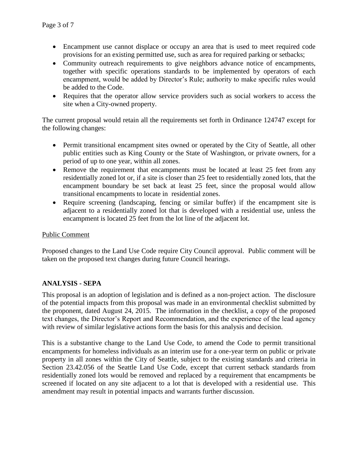- Encampment use cannot displace or occupy an area that is used to meet required code provisions for an existing permitted use, such as area for required parking or setbacks;
- Community outreach requirements to give neighbors advance notice of encampments, together with specific operations standards to be implemented by operators of each encampment, would be added by Director's Rule; authority to make specific rules would be added to the Code.
- Requires that the operator allow service providers such as social workers to access the site when a City-owned property.

The current proposal would retain all the requirements set forth in Ordinance 124747 except for the following changes:

- Permit transitional encampment sites owned or operated by the City of Seattle, all other public entities such as King County or the State of Washington, or private owners, for a period of up to one year, within all zones.
- Remove the requirement that encampments must be located at least 25 feet from any residentially zoned lot or, if a site is closer than 25 feet to residentially zoned lots, that the encampment boundary be set back at least 25 feet, since the proposal would allow transitional encampments to locate in residential zones.
- Require screening (landscaping, fencing or similar buffer) if the encampment site is adjacent to a residentially zoned lot that is developed with a residential use, unless the encampment is located 25 feet from the lot line of the adjacent lot.

### Public Comment

Proposed changes to the Land Use Code require City Council approval. Public comment will be taken on the proposed text changes during future Council hearings.

# **ANALYSIS - SEPA**

This proposal is an adoption of legislation and is defined as a non-project action. The disclosure of the potential impacts from this proposal was made in an environmental checklist submitted by the proponent, dated August 24, 2015. The information in the checklist, a copy of the proposed text changes, the Director's Report and Recommendation, and the experience of the lead agency with review of similar legislative actions form the basis for this analysis and decision.

This is a substantive change to the Land Use Code, to amend the Code to permit transitional encampments for homeless individuals as an interim use for a one-year term on public or private property in all zones within the City of Seattle, subject to the existing standards and criteria in Section 23.42.056 of the Seattle Land Use Code, except that current setback standards from residentially zoned lots would be removed and replaced by a requirement that encampments be screened if located on any site adjacent to a lot that is developed with a residential use. This amendment may result in potential impacts and warrants further discussion.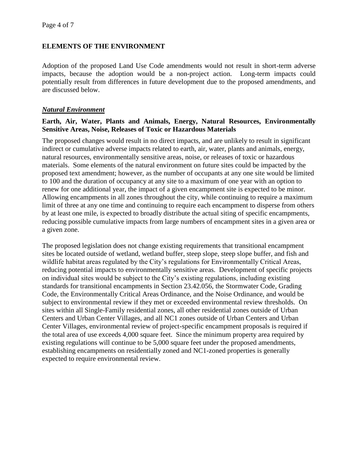## **ELEMENTS OF THE ENVIRONMENT**

Adoption of the proposed Land Use Code amendments would not result in short-term adverse impacts, because the adoption would be a non-project action. Long-term impacts could potentially result from differences in future development due to the proposed amendments, and are discussed below.

#### *Natural Environment*

#### **Earth, Air, Water, Plants and Animals, Energy, Natural Resources, Environmentally Sensitive Areas, Noise, Releases of Toxic or Hazardous Materials**

The proposed changes would result in no direct impacts, and are unlikely to result in significant indirect or cumulative adverse impacts related to earth, air, water, plants and animals, energy, natural resources, environmentally sensitive areas, noise, or releases of toxic or hazardous materials. Some elements of the natural environment on future sites could be impacted by the proposed text amendment; however, as the number of occupants at any one site would be limited to 100 and the duration of occupancy at any site to a maximum of one year with an option to renew for one additional year, the impact of a given encampment site is expected to be minor. Allowing encampments in all zones throughout the city, while continuing to require a maximum limit of three at any one time and continuing to require each encampment to disperse from others by at least one mile, is expected to broadly distribute the actual siting of specific encampments, reducing possible cumulative impacts from large numbers of encampment sites in a given area or a given zone.

The proposed legislation does not change existing requirements that transitional encampment sites be located outside of wetland, wetland buffer, steep slope, steep slope buffer, and fish and wildlife habitat areas regulated by the City's regulations for Environmentally Critical Areas, reducing potential impacts to environmentally sensitive areas. Development of specific projects on individual sites would be subject to the City's existing regulations, including existing standards for transitional encampments in Section 23.42.056, the Stormwater Code, Grading Code, the Environmentally Critical Areas Ordinance, and the Noise Ordinance, and would be subject to environmental review if they met or exceeded environmental review thresholds. On sites within all Single-Family residential zones, all other residential zones outside of Urban Centers and Urban Center Villages, and all NC1 zones outside of Urban Centers and Urban Center Villages, environmental review of project-specific encampment proposals is required if the total area of use exceeds 4,000 square feet. Since the minimum property area required by existing regulations will continue to be 5,000 square feet under the proposed amendments, establishing encampments on residentially zoned and NC1-zoned properties is generally expected to require environmental review.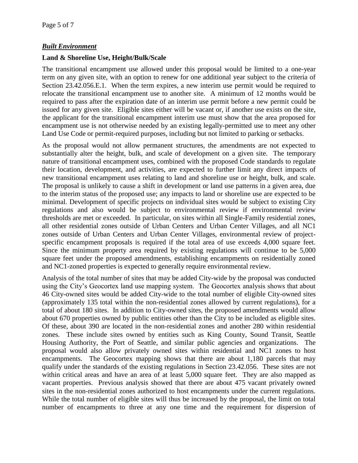# *Built Environment*

# **Land & Shoreline Use, Height/Bulk/Scale**

The transitional encampment use allowed under this proposal would be limited to a one-year term on any given site, with an option to renew for one additional year subject to the criteria of Section 23.42.056.E.1. When the term expires, a new interim use permit would be required to relocate the transitional encampment use to another site. A minimum of 12 months would be required to pass after the expiration date of an interim use permit before a new permit could be issued for any given site. Eligible sites either will be vacant or, if another use exists on the site, the applicant for the transitional encampment interim use must show that the area proposed for encampment use is not otherwise needed by an existing legally-permitted use to meet any other Land Use Code or permit-required purposes, including but not limited to parking or setbacks.

As the proposal would not allow permanent structures, the amendments are not expected to substantially alter the height, bulk, and scale of development on a given site. The temporary nature of transitional encampment uses, combined with the proposed Code standards to regulate their location, development, and activities, are expected to further limit any direct impacts of new transitional encampment uses relating to land and shoreline use or height, bulk, and scale. The proposal is unlikely to cause a shift in development or land use patterns in a given area, due to the interim status of the proposed use; any impacts to land or shoreline use are expected to be minimal. Development of specific projects on individual sites would be subject to existing City regulations and also would be subject to environmental review if environmental review thresholds are met or exceeded. In particular, on sites within all Single-Family residential zones, all other residential zones outside of Urban Centers and Urban Center Villages, and all NC1 zones outside of Urban Centers and Urban Center Villages, environmental review of projectspecific encampment proposals is required if the total area of use exceeds 4,000 square feet. Since the minimum property area required by existing regulations will continue to be 5,000 square feet under the proposed amendments, establishing encampments on residentially zoned and NC1-zoned properties is expected to generally require environmental review.

Analysis of the total number of sites that may be added City-wide by the proposal was conducted using the City's Geocortex land use mapping system. The Geocortex analysis shows that about 46 City-owned sites would be added City-wide to the total number of eligible City-owned sites (approximately 135 total within the non-residential zones allowed by current regulations), for a total of about 180 sites. In addition to City-owned sites, the proposed amendments would allow about 670 properties owned by public entities other than the City to be included as eligible sites. Of these, about 390 are located in the non-residential zones and another 280 within residential zones. These include sites owned by entities such as King County, Sound Transit, Seattle Housing Authority, the Port of Seattle, and similar public agencies and organizations. The proposal would also allow privately owned sites within residential and NC1 zones to host encampments. The Geocortex mapping shows that there are about 1,180 parcels that may qualify under the standards of the existing regulations in Section 23.42.056. These sites are not within critical areas and have an area of at least 5,000 square feet. They are also mapped as vacant properties. Previous analysis showed that there are about 475 vacant privately owned sites in the non-residential zones authorized to host encampments under the current regulations. While the total number of eligible sites will thus be increased by the proposal, the limit on total number of encampments to three at any one time and the requirement for dispersion of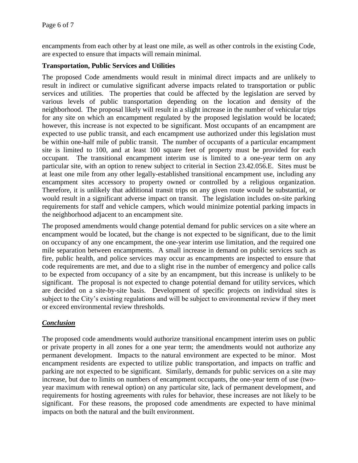encampments from each other by at least one mile, as well as other controls in the existing Code, are expected to ensure that impacts will remain minimal.

# **Transportation, Public Services and Utilities**

The proposed Code amendments would result in minimal direct impacts and are unlikely to result in indirect or cumulative significant adverse impacts related to transportation or public services and utilities. The properties that could be affected by the legislation are served by various levels of public transportation depending on the location and density of the neighborhood. The proposal likely will result in a slight increase in the number of vehicular trips for any site on which an encampment regulated by the proposed legislation would be located; however, this increase is not expected to be significant. Most occupants of an encampment are expected to use public transit, and each encampment use authorized under this legislation must be within one-half mile of public transit. The number of occupants of a particular encampment site is limited to 100, and at least 100 square feet of property must be provided for each occupant. The transitional encampment interim use is limited to a one-year term on any particular site, with an option to renew subject to criterial in Section 23.42.056.E. Sites must be at least one mile from any other legally-established transitional encampment use, including any encampment sites accessory to property owned or controlled by a religious organization. Therefore, it is unlikely that additional transit trips on any given route would be substantial, or would result in a significant adverse impact on transit. The legislation includes on-site parking requirements for staff and vehicle campers, which would minimize potential parking impacts in the neighborhood adjacent to an encampment site.

The proposed amendments would change potential demand for public services on a site where an encampment would be located, but the change is not expected to be significant, due to the limit on occupancy of any one encampment, the one-year interim use limitation, and the required one mile separation between encampments. A small increase in demand on public services such as fire, public health, and police services may occur as encampments are inspected to ensure that code requirements are met, and due to a slight rise in the number of emergency and police calls to be expected from occupancy of a site by an encampment, but this increase is unlikely to be significant. The proposal is not expected to change potential demand for utility services, which are decided on a site-by-site basis. Development of specific projects on individual sites is subject to the City's existing regulations and will be subject to environmental review if they meet or exceed environmental review thresholds.

# *Conclusion*

The proposed code amendments would authorize transitional encampment interim uses on public or private property in all zones for a one year term; the amendments would not authorize any permanent development. Impacts to the natural environment are expected to be minor. Most encampment residents are expected to utilize public transportation, and impacts on traffic and parking are not expected to be significant. Similarly, demands for public services on a site may increase, but due to limits on numbers of encampment occupants, the one-year term of use (twoyear maximum with renewal option) on any particular site, lack of permanent development, and requirements for hosting agreements with rules for behavior, these increases are not likely to be significant. For these reasons, the proposed code amendments are expected to have minimal impacts on both the natural and the built environment.